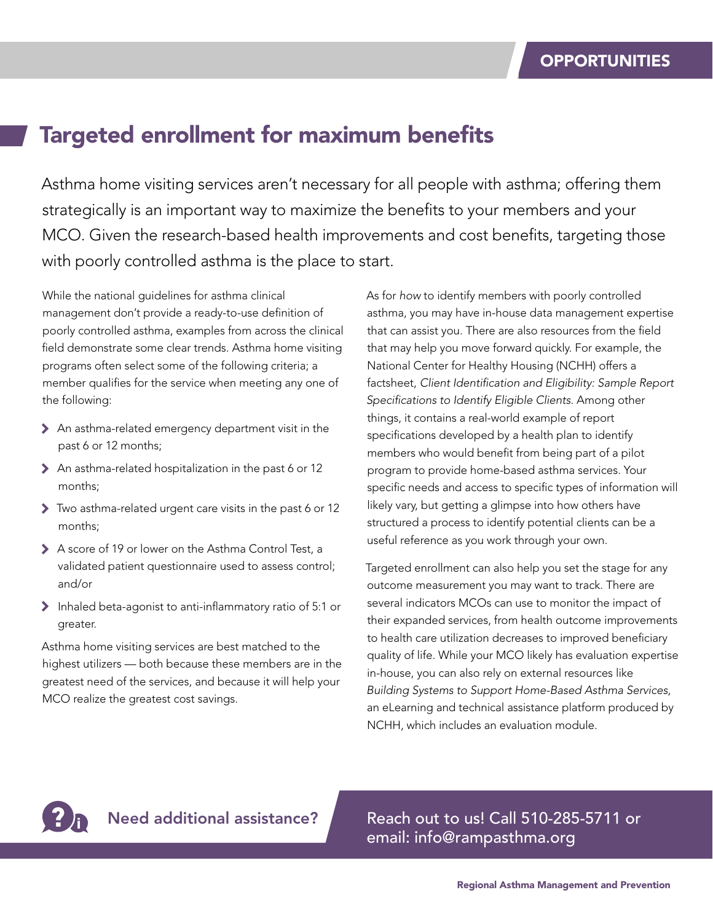#### Targeted enrollment for maximum benefits

Asthma home visiting services aren't necessary for all people with asthma; offering them strategically is an important way to maximize the benefits to your members and your MCO. Given the research-based health improvements and cost benefits, targeting those with poorly controlled asthma is the place to start.

While the national guidelines for asthma clinical management don't provide a ready-to-use definition of poorly controlled asthma, examples from across the clinical field demonstrate some clear trends. Asthma home visiting programs often select some of the following criteria; a member qualifies for the service when meeting any one of the following:

- 7 An asthma-related emergency department visit in the past 6 or 12 months;
- > An asthma-related hospitalization in the past 6 or 12 months;
- 7 Two asthma-related urgent care visits in the past 6 or 12 months;
- > A score of 19 or lower on the Asthma Control Test, a validated patient questionnaire used to assess control; and/or
- 7 Inhaled beta-agonist to anti-inflammatory ratio of 5:1 or greater.

Asthma home visiting services are best matched to the highest utilizers — both because these members are in the greatest need of the services, and because it will help your MCO realize the greatest cost savings.

As for *how* to identify members with poorly controlled asthma, you may have in-house data management expertise that can assist you. There are also resources from the field that may help you move forward quickly. For example, the National Center for Healthy Housing (NCHH) offers a factsheet, *Client Identification and Eligibility: Sample Report Specifications to Identify Eligible Clients*. Among other things, it contains a real-world example of report specifications developed by a health plan to identify members who would benefit from being part of a pilot program to provide home-based asthma services. Your specific needs and access to specific types of information will likely vary, but getting a glimpse into how others have structured a process to identify potential clients can be a useful reference as you work through your own.

Targeted enrollment can also help you set the stage for any outcome measurement you may want to track. There are several indicators MCOs can use to monitor the impact of their expanded services, from health outcome improvements to health care utilization decreases to improved beneficiary quality of life. While your MCO likely has evaluation expertise in-house, you can also rely on external resources like *Building Systems to Support Home-Based Asthma Services*, an eLearning and technical assistance platform produced by NCHH, which includes an evaluation module.



Need additional assistance? Reach out to us! Call 510-285-5711 or email: info@rampasthma.org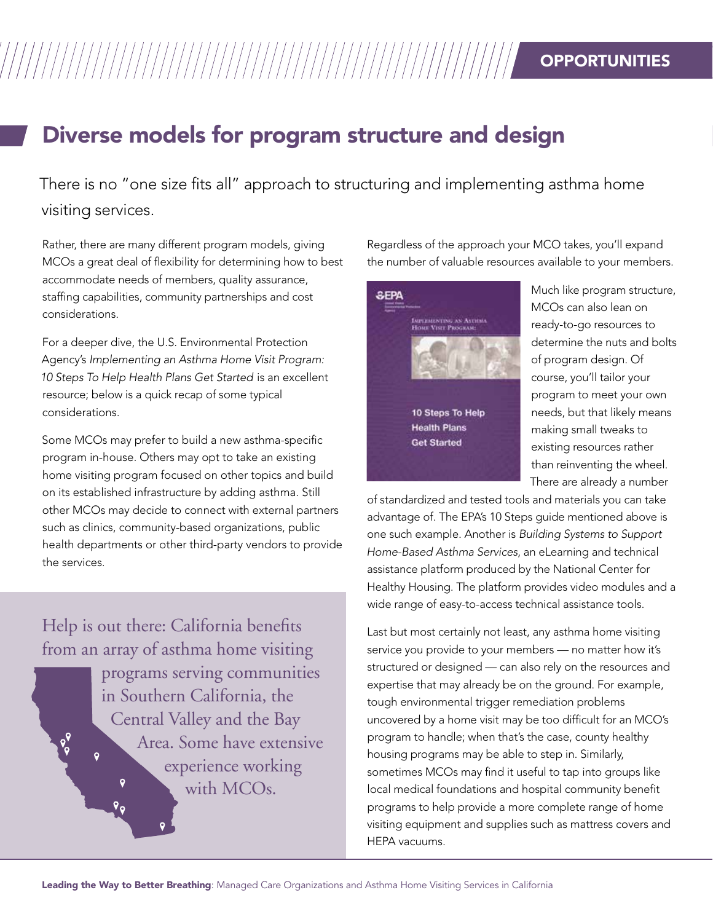## William Seportunities

#### Diverse models for program structure and design

There is no "one size fits all" approach to structuring and implementing asthma home visiting services.

Rather, there are many different program models, giving MCOs a great deal of flexibility for determining how to best accommodate needs of members, quality assurance, staffing capabilities, community partnerships and cost considerations.

For a deeper dive, the U.S. Environmental Protection Agency's *Implementing an Asthma Home Visit Program: 10 Steps To Help Health Plans Get Started* is an excellent resource; below is a quick recap of some typical considerations.

Some MCOs may prefer to build a new asthma-specific program in-house. Others may opt to take an existing home visiting program focused on other topics and build on its established infrastructure by adding asthma. Still other MCOs may decide to connect with external partners such as clinics, community-based organizations, public health departments or other third-party vendors to provide the services.

Help is out there: California benefits from an array of asthma home visiting programs serving communities in Southern California, the Central Valley and the Bay

 $P_{Q}$ 

 $\overline{Q}$ 

 $\mathbf{o}$ 

 $\sqrt{2}$ 

Area. Some have extensive experience working with MCO<sub>s</sub>.

Regardless of the approach your MCO takes, you'll expand the number of valuable resources available to your members.



Much like program structure, MCOs can also lean on ready-to-go resources to determine the nuts and bolts of program design. Of course, you'll tailor your program to meet your own needs, but that likely means making small tweaks to existing resources rather than reinventing the wheel. There are already a number

of standardized and tested tools and materials you can take advantage of. The EPA's 10 Steps guide mentioned above is one such example. Another is *Building Systems to Support Home-Based Asthma Services*, an eLearning and technical assistance platform produced by the National Center for Healthy Housing. The platform provides video modules and a wide range of easy-to-access technical assistance tools.

Last but most certainly not least, any asthma home visiting service you provide to your members — no matter how it's structured or designed — can also rely on the resources and expertise that may already be on the ground. For example, tough environmental trigger remediation problems uncovered by a home visit may be too difficult for an MCO's program to handle; when that's the case, county healthy housing programs may be able to step in. Similarly, sometimes MCOs may find it useful to tap into groups like local medical foundations and hospital community benefit programs to help provide a more complete range of home visiting equipment and supplies such as mattress covers and HEPA vacuums.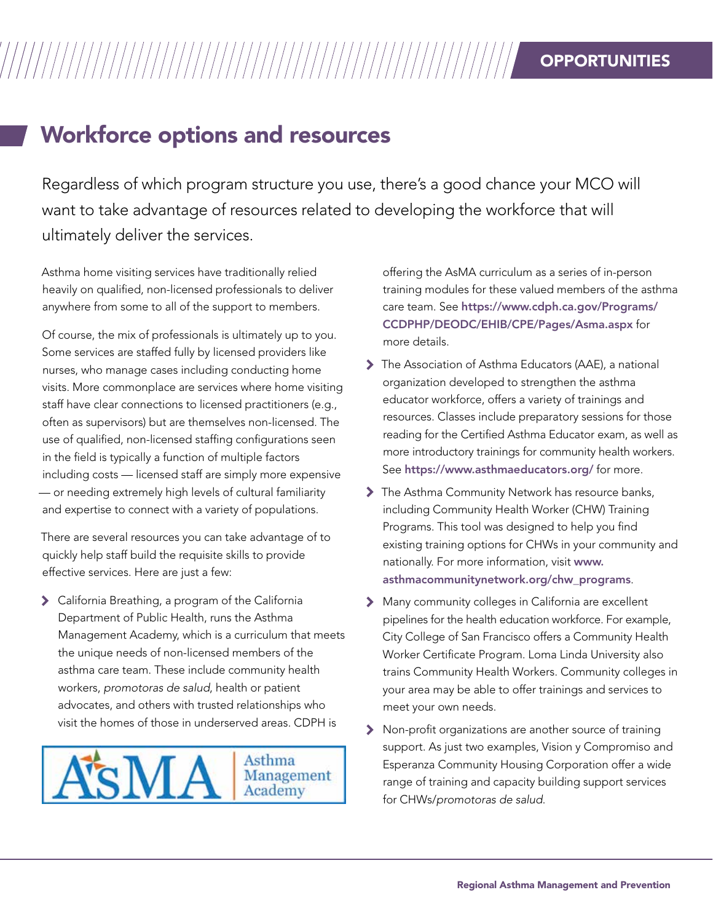#### **OPPORTUNITIES**

#### Workforce options and resources

Regardless of which program structure you use, there's a good chance your MCO will want to take advantage of resources related to developing the workforce that will ultimately deliver the services.

Asthma home visiting services have traditionally relied heavily on qualified, non-licensed professionals to deliver anywhere from some to all of the support to members.

Of course, the mix of professionals is ultimately up to you. Some services are staffed fully by licensed providers like nurses, who manage cases including conducting home visits. More commonplace are services where home visiting staff have clear connections to licensed practitioners (e.g., often as supervisors) but are themselves non-licensed. The use of qualified, non-licensed staffing configurations seen in the field is typically a function of multiple factors including costs — licensed staff are simply more expensive — or needing extremely high levels of cultural familiarity and expertise to connect with a variety of populations.

There are several resources you can take advantage of to quickly help staff build the requisite skills to provide effective services. Here are just a few:

7 California Breathing, a program of the California Department of Public Health, runs the Asthma Management Academy, which is a curriculum that meets the unique needs of non-licensed members of the asthma care team. These include community health workers, *promotoras de salud*, health or patient advocates, and others with trusted relationships who visit the homes of those in underserved areas. CDPH is



offering the AsMA curriculum as a series of in-person training modules for these valued members of the asthma care team. See [https://www.cdph.ca.gov/Programs/](https://www.cdph.ca.gov/Programs/CCDPHP/DEODC/EHIB/CPE/Pages/Asma.aspx) [CCDPHP/DEODC/EHIB/CPE/Pages/Asma.aspx](https://www.cdph.ca.gov/Programs/CCDPHP/DEODC/EHIB/CPE/Pages/Asma.aspx) for more details.

- 7 The Association of Asthma Educators (AAE), a national organization developed to strengthen the asthma educator workforce, offers a variety of trainings and resources. Classes include preparatory sessions for those reading for the Certified Asthma Educator exam, as well as more introductory trainings for community health workers. See <https://www.asthmaeducators.org/> for more.
- The Asthma Community Network has resource banks, including Community Health Worker (CHW) Training Programs. This tool was designed to help you find existing training options for CHWs in your community and nationally. For more information, visit [www.](www.asthmacommunitynetwork.org/chw_programs) [asthmacommunitynetwork.org/chw\\_programs](www.asthmacommunitynetwork.org/chw_programs).
- 7 Many community colleges in California are excellent pipelines for the health education workforce. For example, City College of San Francisco offers a Community Health Worker Certificate Program. Loma Linda University also trains Community Health Workers. Community colleges in your area may be able to offer trainings and services to meet your own needs.
- 7 Non-profit organizations are another source of training support. As just two examples, Vision y Compromiso and Esperanza Community Housing Corporation offer a wide range of training and capacity building support services for CHWs/*promotoras de salud*.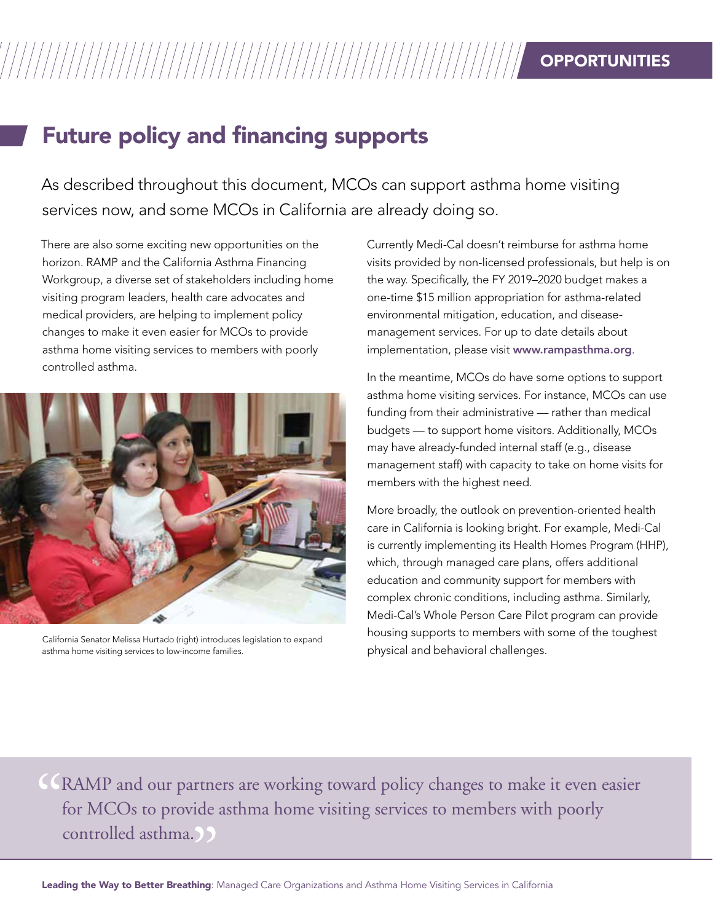### Future policy and financing supports

As described throughout this document, MCOs can support asthma home visiting services now, and some MCOs in California are already doing so.

There are also some exciting new opportunities on the horizon. RAMP and the California Asthma Financing Workgroup, a diverse set of stakeholders including home visiting program leaders, health care advocates and medical providers, are helping to implement policy changes to make it even easier for MCOs to provide asthma home visiting services to members with poorly controlled asthma.



California Senator Melissa Hurtado (right) introduces legislation to expand asthma home visiting services to low-income families.

Currently Medi-Cal doesn't reimburse for asthma home visits provided by non-licensed professionals, but help is on the way. Specifically, the FY 2019–2020 budget makes a one-time \$15 million appropriation for asthma-related environmental mitigation, education, and diseasemanagement services. For up to date details about implementation, please visit <www.rampasthma.org>.

In the meantime, MCOs do have some options to support asthma home visiting services. For instance, MCOs can use funding from their administrative — rather than medical budgets — to support home visitors. Additionally, MCOs may have already-funded internal staff (e.g., disease management staff) with capacity to take on home visits for members with the highest need.

More broadly, the outlook on prevention-oriented health care in California is looking bright. For example, Medi-Cal is currently implementing its Health Homes Program (HHP), which, through managed care plans, offers additional education and community support for members with complex chronic conditions, including asthma. Similarly, Medi-Cal's Whole Person Care Pilot program can provide housing supports to members with some of the toughest physical and behavioral challenges.

CRAMP and our partners are working toward policy changes to make it even easier<br>for MCOs to provide asthma home visiting services to members with poorly<br>controlled asthma. for MCOs to provide asthma home visiting services to members with poorly controlled asthma.<br>
<u>Example</u> 2014<br>
Ning the Way to Better Breathing: